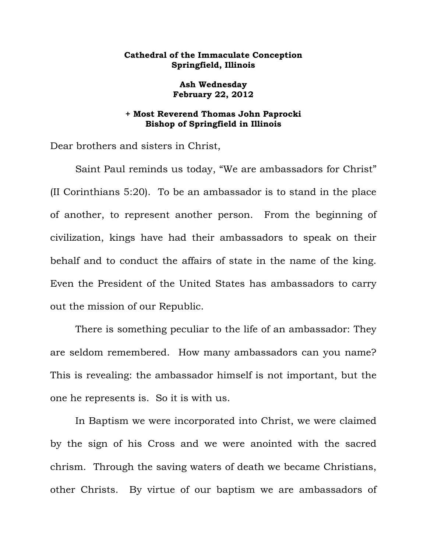## **Cathedral of the Immaculate Conception Springfield, Illinois**

**Ash Wednesday February 22, 2012** 

## **+ Most Reverend Thomas John Paprocki Bishop of Springfield in Illinois**

Dear brothers and sisters in Christ,

 Saint Paul reminds us today, "We are ambassadors for Christ" (II Corinthians 5:20). To be an ambassador is to stand in the place of another, to represent another person. From the beginning of civilization, kings have had their ambassadors to speak on their behalf and to conduct the affairs of state in the name of the king. Even the President of the United States has ambassadors to carry out the mission of our Republic.

 There is something peculiar to the life of an ambassador: They are seldom remembered. How many ambassadors can you name? This is revealing: the ambassador himself is not important, but the one he represents is. So it is with us.

 In Baptism we were incorporated into Christ, we were claimed by the sign of his Cross and we were anointed with the sacred chrism. Through the saving waters of death we became Christians, other Christs. By virtue of our baptism we are ambassadors of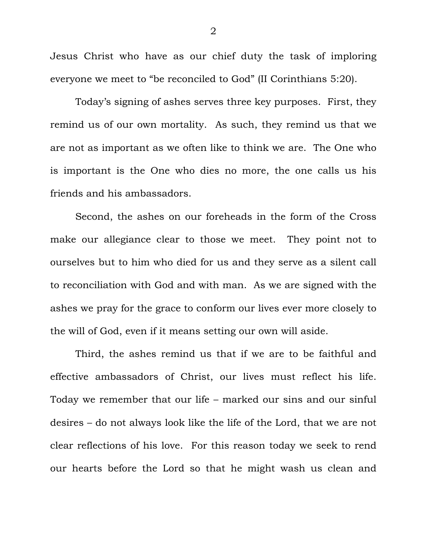Jesus Christ who have as our chief duty the task of imploring everyone we meet to "be reconciled to God" (II Corinthians 5:20).

 Today's signing of ashes serves three key purposes. First, they remind us of our own mortality. As such, they remind us that we are not as important as we often like to think we are. The One who is important is the One who dies no more, the one calls us his friends and his ambassadors.

 Second, the ashes on our foreheads in the form of the Cross make our allegiance clear to those we meet. They point not to ourselves but to him who died for us and they serve as a silent call to reconciliation with God and with man. As we are signed with the ashes we pray for the grace to conform our lives ever more closely to the will of God, even if it means setting our own will aside.

 Third, the ashes remind us that if we are to be faithful and effective ambassadors of Christ, our lives must reflect his life. Today we remember that our life – marked our sins and our sinful desires – do not always look like the life of the Lord, that we are not clear reflections of his love. For this reason today we seek to rend our hearts before the Lord so that he might wash us clean and